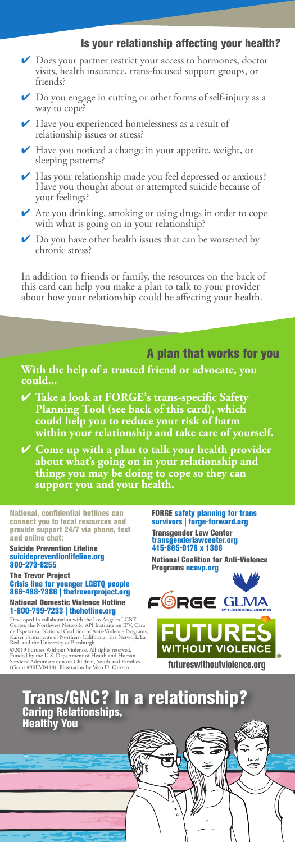#### Is your relationship affecting your health?

- ✔ Does your partner restrict your access to hormones, doctor visits, health insurance, trans-focused support groups, or friends?
- Do you engage in cutting or other forms of self-injury as a way to cope?
- Have you experienced homelessness as a result of relationship issues or stress?
- Have you noticed a change in your appetite, weight, or sleeping patterns?
- Has your relationship made you feel depressed or anxious? Have you thought about or attempted suicide because of your feelings?
- Are you drinking, smoking or using drugs in order to cope with what is going on in your relationship?
- ✔ Do you have other health issues that can be worsened by chronic stress?

In addition to friends or family, the resources on the back of this card can help you make a plan to talk to your provider about how your relationship could be affecting your health.

A plan that works for you

**With the help of a trusted friend or advocate, you could...**

- ✔ **Take a look at FORGE's trans-specific Safety Planning Tool (see back of this card), which could help you to reduce your risk of harm within your relationship and take care of yourself.**
- ✔ **Come up with a plan to talk your health provider about what's going on in your relationship and things you may be doing to cope so they can support you and your health.**

National, confidential hotlines can connect you to local resources and provide support 24/7 via phone, text and online chat:

Suicide Prevention Lifeline suicidepreventionlifeline.org 800-273-8255

# The Trevor Project<br>Crisis line for younger LGBTQ people<br>866-488-7386 | thetrevorproject.org

#### National Domestic Violence Hotline 1-800-799-7233 | thehotline.org

Developed in collaboration with the Los Angeles LGBT<br>Center, the Northwest Network, API Institute on IPV, Casa<br>de Esperanza, National Coalition of Anti-Violence Programs,<br>Kaiser Permanente of Northern California, The Netwo

@2019 Futures Without Violence. All rights reserved.<br>Funded by the U.S. Department of Health and Faunain<br>Services Administration on Children, Youth and Families **futureswithoutviolence.org**<br>(Grant #90EV0414). Illustration

FORGE safety planning for trans survivors | forge-forward.org Transgender Law Center<br>transgenderlawcenter.org<br>415-865-0176 x 1308

National Coalition for Anti-Violence Programs ncavp.org





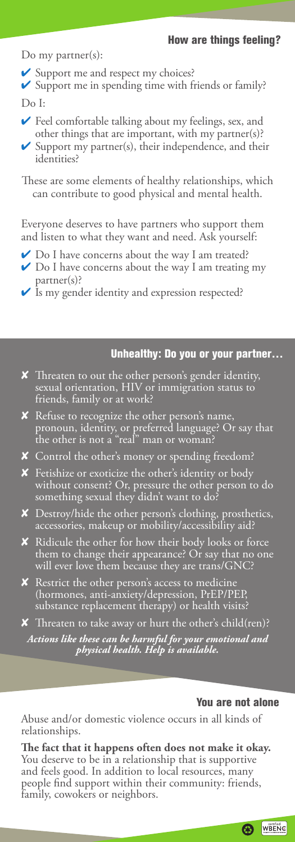#### How are things feeling?

Do my partner(s):

✔ Support me and respect my choices?

✔ Support me in spending time with friends or family? Do I:

- $\blacktriangleright$  Feel comfortable talking about my feelings, sex, and other things that are important, with my partner(s)?
- $\checkmark$  Support my partner(s), their independence, and their identities?

These are some elements of healthy relationships, which can contribute to good physical and mental health.

Everyone deserves to have partners who support them and listen to what they want and need. Ask yourself:

- ◆ Do I have concerns about the way I am treated?
- ✔ Do I have concerns about the way I am treating my partner(s)?
- ✔ Is my gender identity and expression respected?

## Unhealthy: Do you or your partner…

- ✘ Threaten to out the other person's gender identity, sexual orientation, HIV or immigration status to friends, family or at work?
- ✘ Refuse to recognize the other person's name, pronoun, identity, or preferred language? Or say that the other is not a "real" man or woman?
- ✘ Control the other's money or spending freedom?
- ✘ Fetishize or exoticize the other's identity or body without consent? Or, pressure the other person to do something sexual they didn't want to do?
- ✘ Destroy/hide the other person's clothing, prosthetics, accessories, makeup or mobility/accessibility aid?
- ✘ Ridicule the other for how their body looks or force them to change their appearance? Or say that no one will ever love them because they are trans/GNC?
- ✘ Restrict the other person's access to medicine (hormones, anti-anxiety/depression, PrEP/PEP, substance replacement therapy) or health visits?
- ✘ Threaten to take away or hurt the other's child(ren)?

*Actions like these can be harmful for your emotional and physical health. Help is available.*

#### You are not alone

Abuse and/or domestic violence occurs in all kinds of relationships.

**The fact that it happens often does not make it okay.** You deserve to be in a relationship that is supportive and feels good. In addition to local resources, many people find support within their community: friends, family, cowokers or neighbors.

**B** WBENC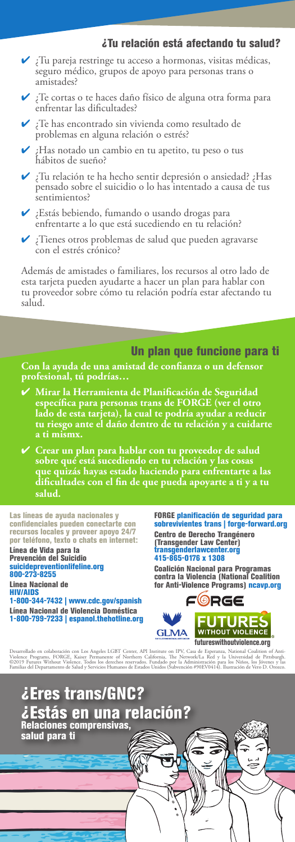#### ¿Tu relación está afectando tu salud?

- ✔ ¿Tu pareja restringe tu acceso a hormonas, visitas médicas, seguro médico, grupos de apoyo para personas trans o amistades?
- ✔ ¿Te cortas o te haces daño físico de alguna otra forma para enfrentar las dificultades?
- ¿Te has encontrado sin vivienda como resultado de problemas en alguna relación o estrés?
- ✔ ¿Has notado un cambio en tu apetito, tu peso o tus hábitos de sueño?
- ✔ ¿Tu relación te ha hecho sentir depresión o ansiedad? ¿Has pensado sobre el suicidio o lo has intentado a causa de tus sentimientos?
- ¿Estás bebiendo, fumando o usando drogas para enfrentarte a lo que está sucediendo en tu relación?
- ¿Tienes otros problemas de salud que pueden agravarse con el estrés crónico?

Además de amistades o familiares, los recursos al otro lado de esta tarjeta pueden ayudarte a hacer un plan para hablar con tu proveedor sobre cómo tu relación podría estar afectando tu salud.

## Un plan que funcione para ti

**Con la ayuda de una amistad de confianza o un defensor profesional, tú podrías…**

✔ **Mirar la Herramienta de Planificación de Seguridad específica para personas trans de FORGE (ver el otro lado de esta tarjeta), la cual te podría ayudar a reducir tu riesgo ante el daño dentro de tu relación y a cuidarte a ti mismx.**

✔ **Crear un plan para hablar con tu proveedor de salud sobre qué está sucediendo en tu relación y las cosas que quizás hayas estado haciendo para enfrentarte a las dificultades con el fin de que pueda apoyarte a ti y a tu salud.**

Las líneas de ayuda nacionales y confidenciales pueden conectarte con recursos locales y proveer apoyo 24/7 por teléfono, texto o chats en internet:

Línea de Vida para la Prevención del Suicidio suicidepreventionlifeline.org 800-273-8255

Linea Nacional de HIV/AIDS 1-800-344-7432 | www.cdc.gov/spanish

Línea Nacional de Violencia Doméstica 1-800-799-7233 | espanol.thehotline.org FORGE planificación de seguridad para sobrevivientes trans | forge-forward.org Centro de Derecho Trangénero (Transgender Law Center)<br>transgenderlawcenter.org<br>415-865-0176 x 1308

Coalición Nacional para Programas contra la Violencia (National Coalition<br>for Anti-Violence Programs) <mark>ncavp.org</mark>



Desarrollado en colaboración con Los Angeles LGBT Center, API Institute on IPV, Casa de Esperanza, National Coalition of Anti-<br>Violence Programs, FORGE, Kaiser Permanente of Northern California, The Network/La Red y la Uni